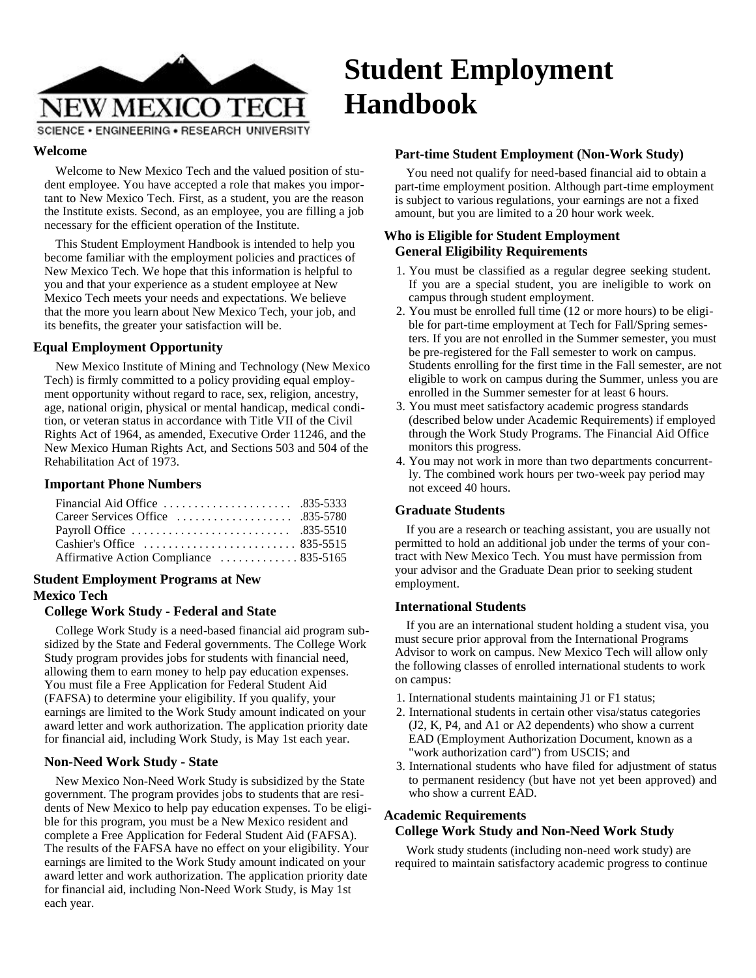

# **Student Employment Handbook**

SCIENCE . ENGINEERING . RESEARCH UNIVERSITY

Welcome to New Mexico Tech and the valued position of student employee. You have accepted a role that makes you important to New Mexico Tech. First, as a student, you are the reason the Institute exists. Second, as an employee, you are filling a job necessary for the efficient operation of the Institute.

This Student Employment Handbook is intended to help you become familiar with the employment policies and practices of New Mexico Tech. We hope that this information is helpful to you and that your experience as a student employee at New Mexico Tech meets your needs and expectations. We believe that the more you learn about New Mexico Tech, your job, and its benefits, the greater your satisfaction will be.

#### **Equal Employment Opportunity**

New Mexico Institute of Mining and Technology (New Mexico Tech) is firmly committed to a policy providing equal employment opportunity without regard to race, sex, religion, ancestry, age, national origin, physical or mental handicap, medical condition, or veteran status in accordance with Title VII of the Civil Rights Act of 1964, as amended, Executive Order 11246, and the New Mexico Human Rights Act, and Sections 503 and 504 of the Rehabilitation Act of 1973.

#### **Important Phone Numbers**

| Financial Aid Office $\ldots \ldots \ldots \ldots \ldots$ .835-5333          |  |
|------------------------------------------------------------------------------|--|
| Career Services Office $\ldots \ldots \ldots \ldots \ldots$ .835-5780        |  |
|                                                                              |  |
| Cashier's Office $\ldots \ldots \ldots \ldots \ldots \ldots \ldots$ 835-5515 |  |
| Affirmative Action Compliance  835-5165                                      |  |

# **Student Employment Programs at New Mexico Tech**

#### **College Work Study - Federal and State**

College Work Study is a need-based financial aid program subsidized by the State and Federal governments. The College Work Study program provides jobs for students with financial need, allowing them to earn money to help pay education expenses. You must file a Free Application for Federal Student Aid (FAFSA) to determine your eligibility. If you qualify, your earnings are limited to the Work Study amount indicated on your award letter and work authorization. The application priority date for financial aid, including Work Study, is May 1st each year.

#### **Non-Need Work Study - State**

New Mexico Non-Need Work Study is subsidized by the State government. The program provides jobs to students that are residents of New Mexico to help pay education expenses. To be eligible for this program, you must be a New Mexico resident and complete a Free Application for Federal Student Aid (FAFSA). The results of the FAFSA have no effect on your eligibility. Your earnings are limited to the Work Study amount indicated on your award letter and work authorization. The application priority date for financial aid, including Non-Need Work Study, is May 1st each year.

#### **Welcome Part-time Student Employment (Non-Work Study)**

You need not qualify for need-based financial aid to obtain a part-time employment position. Although part-time employment is subject to various regulations, your earnings are not a fixed amount, but you are limited to a 20 hour work week.

# **Who is Eligible for Student Employment General Eligibility Requirements**

- 1. You must be classified as a regular degree seeking student. If you are a special student, you are ineligible to work on campus through student employment.
- 2. You must be enrolled full time (12 or more hours) to be eligible for part-time employment at Tech for Fall/Spring semesters. If you are not enrolled in the Summer semester, you must be pre-registered for the Fall semester to work on campus. Students enrolling for the first time in the Fall semester, are not eligible to work on campus during the Summer, unless you are enrolled in the Summer semester for at least 6 hours.
- 3. You must meet satisfactory academic progress standards (described below under Academic Requirements) if employed through the Work Study Programs. The Financial Aid Office monitors this progress.
- 4. You may not work in more than two departments concurrently. The combined work hours per two-week pay period may not exceed 40 hours.

#### **Graduate Students**

If you are a research or teaching assistant, you are usually not permitted to hold an additional job under the terms of your contract with New Mexico Tech. You must have permission from your advisor and the Graduate Dean prior to seeking student employment.

#### **International Students**

If you are an international student holding a student visa, you must secure prior approval from the International Programs Advisor to work on campus. New Mexico Tech will allow only the following classes of enrolled international students to work on campus:

- 1. International students maintaining J1 or F1 status;
- 2. International students in certain other visa/status categories (J2, K, P4, and A1 or A2 dependents) who show a current EAD (Employment Authorization Document, known as a "work authorization card") from USCIS; and
- 3. International students who have filed for adjustment of status to permanent residency (but have not yet been approved) and who show a current EAD.

# **Academic Requirements**

# **College Work Study and Non-Need Work Study**

Work study students (including non-need work study) are required to maintain satisfactory academic progress to continue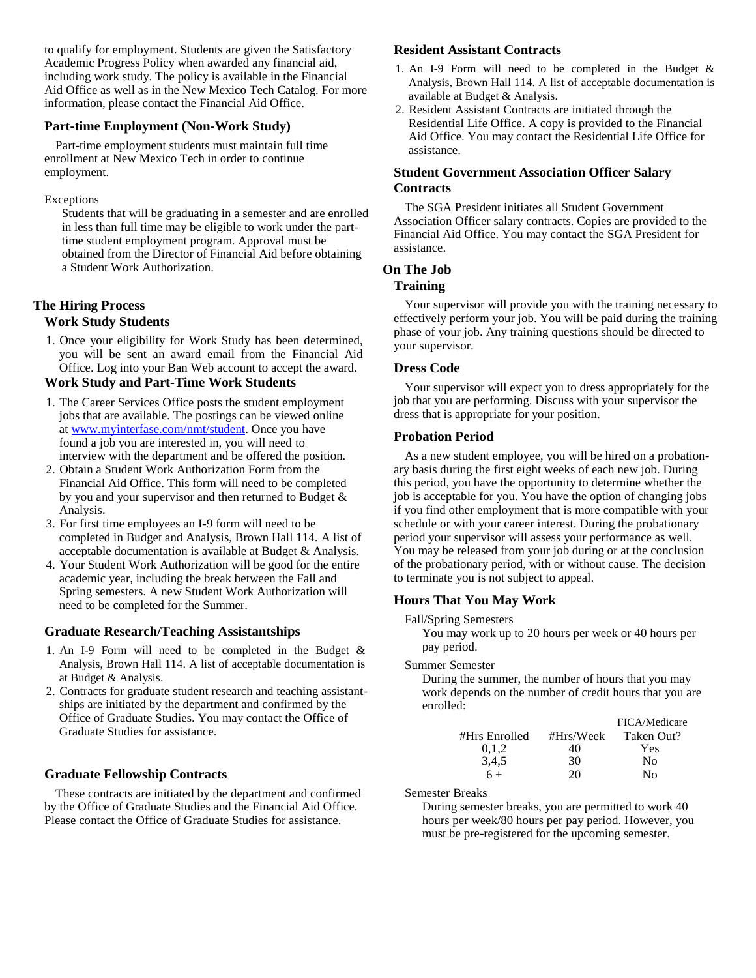to qualify for employment. Students are given the Satisfactory Academic Progress Policy when awarded any financial aid, including work study. The policy is available in the Financial Aid Office as well as in the New Mexico Tech Catalog. For more information, please contact the Financial Aid Office.

#### **Part-time Employment (Non-Work Study)**

Part-time employment students must maintain full time enrollment at New Mexico Tech in order to continue employment.

#### Exceptions

Students that will be graduating in a semester and are enrolled in less than full time may be eligible to work under the parttime student employment program. Approval must be obtained from the Director of Financial Aid before obtaining a Student Work Authorization.

#### **The Hiring Process Work Study Students**

1. Once your eligibility for Work Study has been determined, you will be sent an award email from the Financial Aid Office. Log into your Ban Web account to accept the award.

#### **Work Study and Part-Time Work Students**

- 1. The Career Services Office posts the student employment jobs that are available. The postings can be viewed online a[t www.myinterfase.com/nmt/student.](http://www.myinterfase.com/nmt/student) Once you have found a job you are interested in, you will need to interview with the department and be offered the position.
- 2. Obtain a Student Work Authorization Form from the Financial Aid Office. This form will need to be completed by you and your supervisor and then returned to Budget & Analysis.
- 3. For first time employees an I-9 form will need to be completed in Budget and Analysis, Brown Hall 114. A list of acceptable documentation is available at Budget & Analysis.
- 4. Your Student Work Authorization will be good for the entire academic year, including the break between the Fall and Spring semesters. A new Student Work Authorization will need to be completed for the Summer.

#### **Graduate Research/Teaching Assistantships**

- 1. An I-9 Form will need to be completed in the Budget & Analysis, Brown Hall 114. A list of acceptable documentation is at Budget & Analysis.
- 2. Contracts for graduate student research and teaching assistantships are initiated by the department and confirmed by the Office of Graduate Studies. You may contact the Office of Graduate Studies for assistance.

# **Graduate Fellowship Contracts**

These contracts are initiated by the department and confirmed by the Office of Graduate Studies and the Financial Aid Office. Please contact the Office of Graduate Studies for assistance.

#### **Resident Assistant Contracts**

- 1. An I-9 Form will need to be completed in the Budget & Analysis, Brown Hall 114. A list of acceptable documentation is available at Budget & Analysis.
- 2. Resident Assistant Contracts are initiated through the Residential Life Office. A copy is provided to the Financial Aid Office. You may contact the Residential Life Office for assistance.

### **Student Government Association Officer Salary Contracts**

The SGA President initiates all Student Government Association Officer salary contracts. Copies are provided to the Financial Aid Office. You may contact the SGA President for assistance.

#### **On The Job**

#### **Training**

Your supervisor will provide you with the training necessary to effectively perform your job. You will be paid during the training phase of your job. Any training questions should be directed to your supervisor.

#### **Dress Code**

Your supervisor will expect you to dress appropriately for the job that you are performing. Discuss with your supervisor the dress that is appropriate for your position.

#### **Probation Period**

As a new student employee, you will be hired on a probationary basis during the first eight weeks of each new job. During this period, you have the opportunity to determine whether the job is acceptable for you. You have the option of changing jobs if you find other employment that is more compatible with your schedule or with your career interest. During the probationary period your supervisor will assess your performance as well. You may be released from your job during or at the conclusion of the probationary period, with or without cause. The decision to terminate you is not subject to appeal.

#### **Hours That You May Work**

Fall/Spring Semesters

You may work up to 20 hours per week or 40 hours per pay period.

#### Summer Semester

During the summer, the number of hours that you may work depends on the number of credit hours that you are enrolled:

|               |           | FICA/Medicare |
|---------------|-----------|---------------|
| #Hrs Enrolled | #Hrs/Week | Taken Out?    |
| 0,1,2         | 40        | Yes           |
| 3,4,5         | 30        | Nο            |
| $6+$          | 20        | Nο            |

Semester Breaks

During semester breaks, you are permitted to work 40 hours per week/80 hours per pay period. However, you must be pre-registered for the upcoming semester.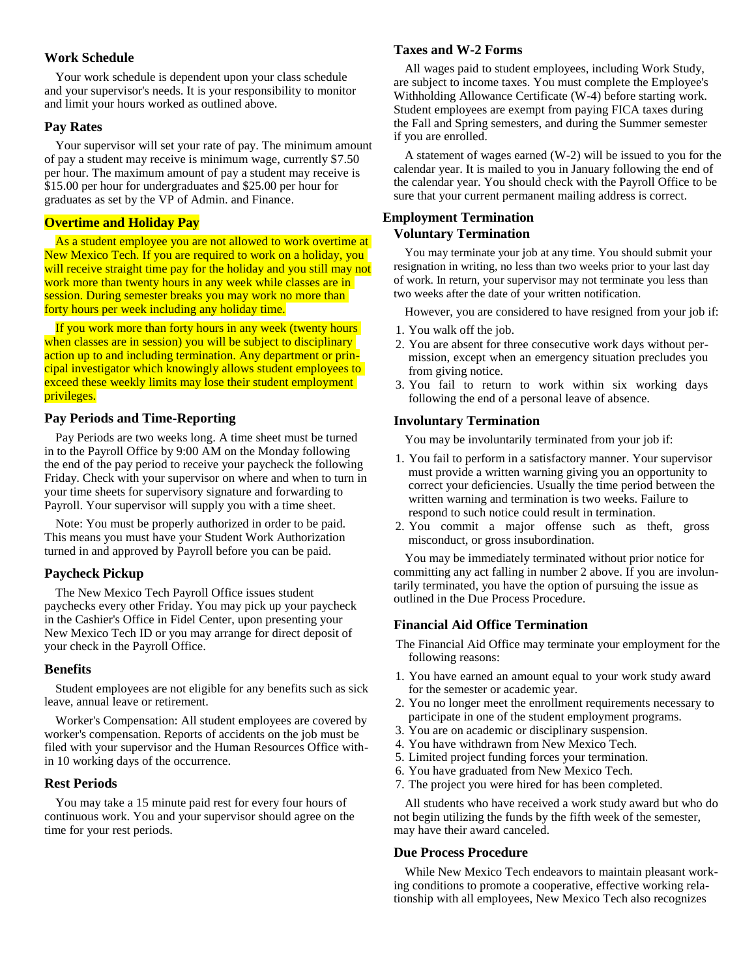#### **Work Schedule**

Your work schedule is dependent upon your class schedule and your supervisor's needs. It is your responsibility to monitor and limit your hours worked as outlined above.

#### **Pay Rates**

Your supervisor will set your rate of pay. The minimum amount of pay a student may receive is minimum wage, currently \$7.50 per hour. The maximum amount of pay a student may receive is \$15.00 per hour for undergraduates and \$25.00 per hour for graduates as set by the VP of Admin. and Finance.

#### **Overtime and Holiday Pay**

As a student employee you are not allowed to work overtime at New Mexico Tech. If you are required to work on a holiday, you will receive straight time pay for the holiday and you still may not work more than twenty hours in any week while classes are in session. During semester breaks you may work no more than forty hours per week including any holiday time.

If you work more than forty hours in any week (twenty hours when classes are in session) you will be subject to disciplinary action up to and including termination. Any department or principal investigator which knowingly allows student employees to exceed these weekly limits may lose their student employment privileges.

#### **Pay Periods and Time-Reporting**

Pay Periods are two weeks long. A time sheet must be turned in to the Payroll Office by 9:00 AM on the Monday following the end of the pay period to receive your paycheck the following Friday. Check with your supervisor on where and when to turn in your time sheets for supervisory signature and forwarding to Payroll. Your supervisor will supply you with a time sheet.

Note: You must be properly authorized in order to be paid. This means you must have your Student Work Authorization turned in and approved by Payroll before you can be paid.

#### **Paycheck Pickup**

The New Mexico Tech Payroll Office issues student paychecks every other Friday. You may pick up your paycheck in the Cashier's Office in Fidel Center, upon presenting your New Mexico Tech ID or you may arrange for direct deposit of your check in the Payroll Office.

#### **Benefits**

Student employees are not eligible for any benefits such as sick leave, annual leave or retirement.

Worker's Compensation: All student employees are covered by worker's compensation. Reports of accidents on the job must be filed with your supervisor and the Human Resources Office within 10 working days of the occurrence.

#### **Rest Periods**

You may take a 15 minute paid rest for every four hours of continuous work. You and your supervisor should agree on the time for your rest periods.

#### **Taxes and W-2 Forms**

All wages paid to student employees, including Work Study, are subject to income taxes. You must complete the Employee's Withholding Allowance Certificate (W-4) before starting work. Student employees are exempt from paying FICA taxes during the Fall and Spring semesters, and during the Summer semester if you are enrolled.

A statement of wages earned (W-2) will be issued to you for the calendar year. It is mailed to you in January following the end of the calendar year. You should check with the Payroll Office to be sure that your current permanent mailing address is correct.

#### **Employment Termination Voluntary Termination**

You may terminate your job at any time. You should submit your resignation in writing, no less than two weeks prior to your last day of work. In return, your supervisor may not terminate you less than two weeks after the date of your written notification.

However, you are considered to have resigned from your job if:

- 1. You walk off the job.
- 2. You are absent for three consecutive work days without permission, except when an emergency situation precludes you from giving notice.
- 3. You fail to return to work within six working days following the end of a personal leave of absence.

#### **Involuntary Termination**

You may be involuntarily terminated from your job if:

- 1. You fail to perform in a satisfactory manner. Your supervisor must provide a written warning giving you an opportunity to correct your deficiencies. Usually the time period between the written warning and termination is two weeks. Failure to respond to such notice could result in termination.
- 2. You commit a major offense such as theft, gross misconduct, or gross insubordination.

You may be immediately terminated without prior notice for committing any act falling in number 2 above. If you are involuntarily terminated, you have the option of pursuing the issue as outlined in the Due Process Procedure.

#### **Financial Aid Office Termination**

The Financial Aid Office may terminate your employment for the following reasons:

- 1. You have earned an amount equal to your work study award for the semester or academic year.
- 2. You no longer meet the enrollment requirements necessary to participate in one of the student employment programs.
- 3. You are on academic or disciplinary suspension.
- 4. You have withdrawn from New Mexico Tech.
- 5. Limited project funding forces your termination.
- 6. You have graduated from New Mexico Tech.
- 7. The project you were hired for has been completed.

All students who have received a work study award but who do not begin utilizing the funds by the fifth week of the semester, may have their award canceled.

#### **Due Process Procedure**

While New Mexico Tech endeavors to maintain pleasant working conditions to promote a cooperative, effective working relationship with all employees, New Mexico Tech also recognizes